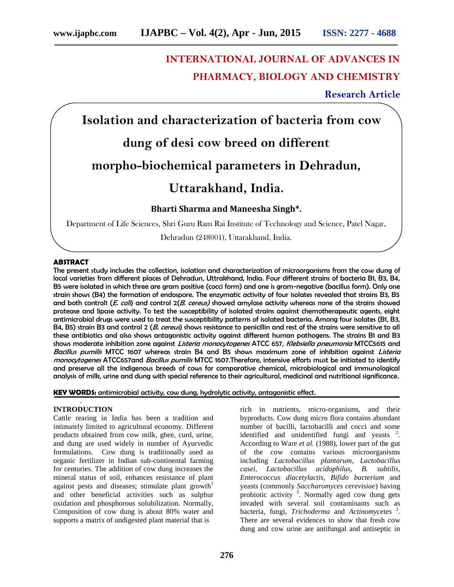# **INTERNATIONAL JOURNAL OF ADVANCES IN PHARMACY, BIOLOGY AND CHEMISTRY**

### **Research Article**

**Isolation and characterization of bacteria from cow**

## **dung of desi cow breed on different**

**morpho-biochemical parameters in Dehradun,**

### **Uttarakhand, India.**

**Bharti Sharma and Maneesha Singh\*.**

Department of Life Sciences, Shri Guru Ram Rai Institute of Technology and Science, Patel Nagar,

Dehradun (248001), Uttarakhand, India.

#### **ABSTRACT**

The present study includes the collection, isolation and characterization of microorganisms from the cow dung of local varieties from different places of Dehradun, Uttrakhand, India. Four different strains of bacteria B1, B3, B4, B5 were isolated in which three are gram positive (cocci form) and one is gram-negative (bacillus form). Only one strain shows (B4) the formation of endospore. The enzymatic activity of four isolates revealed that strains B3, B5 and both control1 (*E. coli*) and control 2(*B. cereus)* showed amylase activity whereas none of the strains showed protease and lipase activity. To test the susceptibility of isolated strains against chemotherapeutic agents, eight antimicrobial drugs were used to treat the susceptibility patterns of isolated bacteria. Among four isolates (B1, B3, B4, B5) strain B3 and control 2 (*B. cereus*) shows resistance to penicillin and rest of the strains were sensitive to all these antibiotics and also shows antagonistic activity against different human pathogens. The strains B1 and B3 shows moderate inhibition zone against *Listeria monocytogenes* ATCC 657, *Klebsiella pneumonia* MTCC5615 and *Bacillus pumilis* MTCC 1607 whereas strain B4 and B5 shows maximum zone of inhibition against *Listeria monocytogenes* ATCC657and *Bacillus pumilis* MTCC 1607.Therefore, intensive efforts must be initiated to identify and preserve all the indigenous breeds of cows for comparative chemical, microbiological and immunological analysis of milk, urine and dung with special reference to their agricultural, medicinal and nutritional significance.

**KEY WORDS:** antimicrobial activity, cow dung, hydrolytic activity, antagonistic effect.

#### . **INTRODUCTION**

Cattle rearing in India has been a tradition and intimately limited to agricultural economy. Different products obtained from cow milk, ghee, curd, urine, and dung are used widely in number of Ayurvedic formulations. Cow dung is traditionally used as organic fertilizer in Indian sub-continental farming for centuries. The addition of cow dung increases the mineral status of soil, enhances resistance of plant against pests and diseases; stimulate plant growth<sup>1</sup> and other beneficial activities such as sulphur oxidation and phosphorous solubilization. Normally, Composition of cow dung is about 80% water and supports a matrix of undigested plant material that is

rich in nutrients, micro-organisms, and their byproducts. Cow dung micro flora contains abundant number of bacilli, lactobacilli and cocci and some identified and unidentified fungi and yeasts  $2$ . According to Ware *et al.* (1988), lower part of the gut of the cow contains various microorganisms including *Lactobacillus plantarum*, *Lactobacillus casei*, *Lactobacillus acidophilus*, *B. subtilis, Enterococcus diacetylactis*, *Bifido bacterium* and yeasts (commonly *Saccharomyces cerevisiae*) having probiotic activity  $3$ . Normally aged cow dung gets invaded with several soil contaminants such as bacteria, fungi, *Trichoderma* and *Actinomycetes* <sup>2</sup> . There are several evidences to show that fresh cow dung and cow urine are antifungal and antiseptic in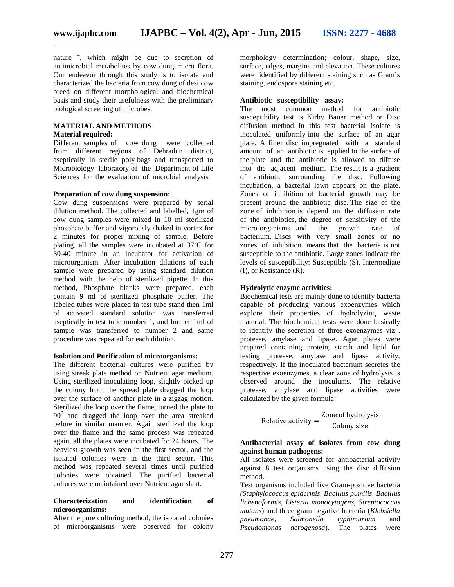nature <sup>4</sup> , which might be due to secretion of antimicrobial metabolites by cow dung micro flora. Our endeavor through this study is to isolate and characterized the bacteria from cow dung of desi cow breed on different morphological and biochemical basis and study their usefulness with the preliminary biological screening of microbes.

#### **MATERIAL AND METHODS Material required:**

Different samples of cow dung were collected from different regions of Dehradun district, aseptically in sterile poly bags and transported to Microbiology laboratory of the Department of Life Sciences for the evaluation of microbial analysis*.*

#### **Preparation of cow dung suspension:**

Cow dung suspensions were prepared by serial dilution method. The collected and labelled, 1gm of cow dung samples were mixed in 10 ml sterilized phosphate buffer and vigorously shaked in vortex for 2 minutes for proper mixing of sample. Before plating, all the samples were incubated at  $37^{\circ}$ C for 30-40 minute in an incubator for activation of microorganism. After incubation dilutions of each sample were prepared by using standard dilution method with the help of sterilized pipette. In this method, Phosphate blanks were prepared, each contain 9 ml of sterilized phosphate buffer. The labeled tubes were placed in test tube stand then 1ml of activated standard solution was transferred aseptically in test tube number 1, and further 1ml of sample was transferred to number 2 and same procedure was repeated for each dilution.

#### **Isolation and Purification of microorganisms:**

The different bacterial cultures were purified by using streak plate method on Nutrient agar medium. Using sterilized inoculating loop, slightly picked up the colony from the spread plate dragged the loop over the surface of another plate in a zigzag motion. Sterilized the loop over the flame, turned the plate to  $90<sup>0</sup>$  and dragged the loop over the area streaked before in similar manner. Again sterilized the loop over the flame and the same process was repeated again, all the plates were incubated for 24 hours. The heaviest growth was seen in the first sector, and the isolated colonies were in the third sector. This method was repeated several times until purified colonies were obtained. The purified bacterial cultures were maintained over Nutrient agar slant.

#### **Characterization and identification of microorganisms:**

After the pure culturing method, the isolated colonies of microorganisms were observed for colony morphology determination; colour, shape, size, surface, edges, margins and elevation. These cultures were identified by different staining such as Gram's staining, endospore staining etc.

#### **Antibiotic susceptibility assay:**

The most common method for antibiotic susceptibility test is Kirby Bauer method or Disc diffusion method. In this test bacterial isolate is inoculated uniformly into the surface of an agar plate. A filter disc impregnated with a standard amount of an antibiotic is applied to the surface of the plate and the antibiotic is allowed to diffuse into the adjacent medium. The result is a gradient of antibiotic surrounding the disc. Following incubation, a bacterial lawn appears on the plate. Zones of inhibition of bacterial growth may be present around the antibiotic disc. The size of the zone of inhibition is depend on the diffusion rate of the antibiotics, the degree of sensitivity of the micro-organisms and the growth rate of micro-organisms and the growth rate of bacterium. Discs with very small zones or no zones of inhibition means that the bacteria is not susceptible to the antibiotic. Large zones indicate the levels of susceptibility: Susceptible (S), Intermediate (I), or Resistance (R).

#### **Hydrolytic enzyme activities:**

Biochemical tests are mainly done to identify bacteria capable of producing various exoenzymes which explore their properties of hydrolyzing waste material. The biochemical tests were done basically to identify the secretion of three exoenzymes viz . protease, amylase and lipase. Agar plates were prepared containing protein, starch and lipid for testing protease, amylase and lipase activity, respectively. If the inoculated bacterium secretes the respective exoenzymes, a clear zone of hydrolysis is observed around the inoculums. The relative protease, amylase and lipase activities were calculated by the given formula:

> Relative activity  $=\frac{20ne \text{ of hydrolysis}}{C_{\text{olony size}}}$ Colony size

#### **Antibacterial assay of isolates from cow dung against human pathogens:**

All isolates were screened for antibacterial activity against 8 test organisms using the disc diffusion method.

Test organisms included five Gram-positive bacteria *(Staphylococcus epidermis, Bacillus pumilis, Bacillus lichenoformis, Listeria monocytogens, Streptococcus mutans*) and three gram negative bacteria (*Klebsiella pneumonae*, *Salmonella typhimurium* and *Pseudomonas aerogenosa*). The plates were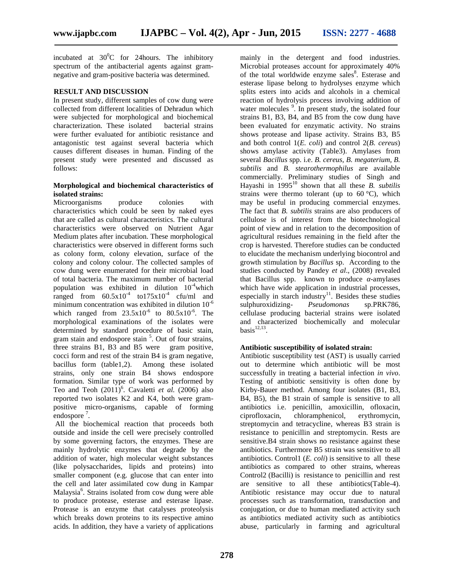incubated at  $30^0C$  for 24 hours. The inhibitory spectrum of the antibacterial agents against gram negative and gram-positive bacteria was determined.

#### **RESULT AND DISCUSSION**

In present study, different samples of cow dung were collected from different localities of Dehradun which were subjected for morphological and biochemical characterization. These isolated bacterial strains were further evaluated for antibiotic resistance and antagonistic test against several bacteria which causes different diseases in human. Finding of the present study were presented and discussed as follows:

#### **Morphological and biochemical characteristics of isolated strains:**

Microorganisms produce colonies with characteristics which could be seen by naked eyes that are called as cultural characteristics. The cultural characteristics were observed on Nutrient Agar Medium plates after incubation. These morphological characteristics were observed in different forms such as colony form, colony elevation, surface of the colony and colony colour. The collected samples of cow dung were enumerated for their microbial load of total bacteria. The maximum number of bacterial population was exhibited in dilution  $10^{-4}$  which ranged from  $60.5x10^4$  to  $175x10^4$  cfu/ml and minimum concentration was exhibited in dilution  $10^{-6}$ which ranged from  $23.5 \times 10^{-6}$  to  $80.5 \times 10^{-6}$ . The morphological examinations of the isolates were determined by standard procedure of basic stain, gram stain and endospore stain <sup>5</sup>. Out of four strains, three strains B1, B3 and B5 were gram positive, cocci form and rest of the strain B4 is gram negative, bacillus form (table1,2). Among these isolated strains, only one strain B4 shows endospore formation. Similar type of work was performed by Teo and Teoh  $(2011)^6$ . Cavaletti *et al.*  $(2006)$  also reported two isolates K2 and K4, both were gram positive micro-organisms, capable of forming endospore<sup>7</sup>.

All the biochemical reaction that proceeds both outside and inside the cell were precisely controlled by some governing factors, the enzymes. These are mainly hydrolytic enzymes that degrade by the addition of water, high molecular weight substances (like polysaccharides, lipids and proteins) into smaller component (e.g. glucose that can enter into the cell and later assimilated cow dung in Kampar Malaysia<sup>6</sup>. Strains isolated from cow dung were able to produce protease, esterase and esterase lipase. Protease is an enzyme that catalyses proteolysis which breaks down proteins to its respective amino acids. In addition, they have a variety of applications

mainly in the detergent and food industries. Microbial proteases account for approximately 40% of the total worldwide enzyme sales<sup>8</sup>. Esterase and esterase lipase belong to hydrolyses enzyme which splits esters into acids and alcohols in a chemical reaction of hydrolysis process involving addition of water molecules <sup>9</sup>. In present study, the isolated four strains B1, B3, B4, and B5 from the cow dung have been evaluated for enzymatic activity. No strains shows protease and lipase activity. Strains B3, B5 and both control 1(*E. coli*) and control 2(*B. cereus*) shows amylase activity (Table3). Amylases from several *Bacillus* spp. i.e. *B. cereus, B. megaterium, B. subtilis* and *B. stearothermophilus* are available commercially. Preliminary studies of Singh and Hayashi in 1995<sup>10</sup> shown that all these *B. subtilis* strains were thermo tolerant (up to  $60^{\circ}$ C), which may be useful in producing commercial enzymes. The fact that *B. subtilis* strains are also producers of cellulose is of interest from the biotechnological point of view and in relation to the decomposition of agricultural residues remaining in the field after the crop is harvested. Therefore studies can be conducted to elucidate the mechanism underlying biocontrol and growth stimulation by *Bacillus* sp. According to the studies conducted by Pandey *et al*., (2008) revealed that Bacillus spp. known to produce -amylases which have wide application in industrial processes, especially in starch industry<sup>11</sup>. Besides these studies sulphuroxidizing- *Pseudomonas* sp.PRK786, cellulase producing bacterial strains were isolated and characterized biochemically and molecular  $basis$ <sup>12,13</sup>.

#### **Antibiotic susceptibility of isolated strain:**

Antibiotic susceptibility test (AST) is usually carried out to determine which antibiotic will be most successfully in treating a bacterial infection *in vivo*. Testing of antibiotic sensitivity is often done by Kirby-Bauer method. Among four isolates (B1, B3, B4, B5), the B1 strain of sample is sensitive to all antibiotics i.e. penicillin, amoxicillin, ofloxacin, ciprofloxacin, chloramphenicol, erythromycin, streptomycin and tetracycline, whereas B3 strain is resistance to penicillin and streptomycin. Rests are sensitive.B4 strain shows no resistance against these antibiotics. Furthermore B5 strain was sensitive to all antibiotics. Control1 (*E. coli*) is sensitive to all these antibiotics as compared to other strains, whereas Control2 (Bacilli) is resistance to penicillin and rest are sensitive to all these antibiotics(Table-4). Antibiotic resistance may occur due to natural processes such as transformation, transduction and conjugation, or due to human mediated activity such as antibiotics mediated activity such as antibiotics abuse, particularly in farming and agricultural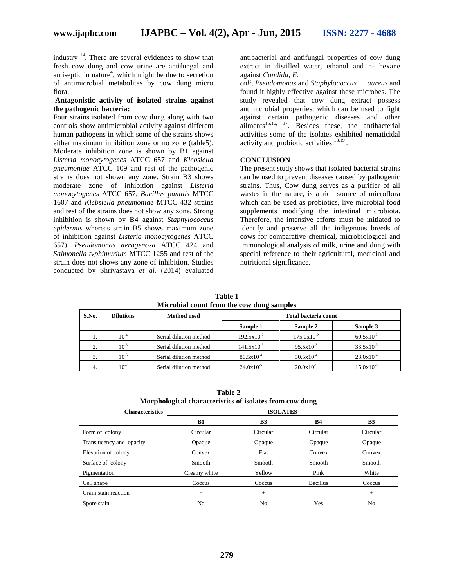industry <sup>14</sup>. There are several evidences to show that fresh cow dung and cow urine are antifungal and antiseptic in nature<sup>4</sup>, which might be due to secretion of antimicrobial metabolites by cow dung micro flora.

#### **Antagonistic activity of isolated strains against the pathogenic bacteria:**

Four strains isolated from cow dung along with two controls show antimicrobial activity against different human pathogens in which some of the strains shows either maximum inhibition zone or no zone (table5). Moderate inhibition zone is shown by B1 against *Listeria monocytogenes* ATCC 657 and *Klebsiella pneumoniae* ATCC 109 and rest of the pathogenic strains does not shown any zone. Strain B3 shows moderate zone of inhibition against *Listeria monocytogenes* ATCC 657, *Bacillus pumilis* MTCC 1607 and *Klebsiella pneumoniae* MTCC 432 strains and rest of the strains does not show any zone. Strong inhibition is shown by B4 against *Staphylococcus epidermis* whereas strain B5 shows maximum zone of inhibition against *Listeria monocytogenes* ATCC 657), *Pseudomonas aerogenosa* ATCC 424 and *Salmonella typhimurium* MTCC 1255 and rest of the strain does not shows any zone of inhibition. Studies conducted by Shrivastava *et al.* (2014) evaluated

antibacterial and antifungal properties of cow dung extract in distilled water, ethanol and n- hexane against *Candida*, *E.*

*coli*, *Pseudomonas* and *Staphylococcus aureus* and found it highly effective against these microbes. The study revealed that cow dung extract possess antimicrobial properties, which can be used to fight against certain pathogenic diseases and other  $a$ ilments<sup>15,16, 17</sup>. Besides these, the antibacterial activities some of the isolates exhibited nematicidal activity and probiotic activities  $^{18,19}$ .

#### **CONCLUSION**

The present study shows that isolated bacterial strains can be used to prevent diseases caused by pathogenic strains. Thus, Cow dung serves as a purifier of all wastes in the nature, is a rich source of microflora which can be used as probiotics, live microbial food supplements modifying the intestinal microbiota. Therefore, the intensive efforts must be initiated to identify and preserve all the indigenous breeds of cows for comparative chemical, microbiological and immunological analysis of milk, urine and dung with special reference to their agricultural, medicinal and nutritional significance.

**Table 1 Microbial count from the cow dung samples**

| S.No. | <b>Dilutions</b> | Method used            | Total bacteria count |                        |                       |  |  |
|-------|------------------|------------------------|----------------------|------------------------|-----------------------|--|--|
|       |                  |                        | Sample 1             | Sample 2               | Sample 3              |  |  |
|       | $10^{-4}$        | Serial dilution method | $192.5x10^{-2}$      | $175.0 \times 10^{-2}$ | $60.5x10^{-2}$        |  |  |
| ↑     | $10^{-5}$        | Serial dilution method | $141.5x10^{-3}$      | $95.5x10^{-3}$         | $33.5 \times 10^{-3}$ |  |  |
| 3.    | $10^{-6}$        | Serial dilution method | $80.5x10^{-4}$       | $50.5x10^{-4}$         | $23.0x10^{-4}$        |  |  |
| 4.    | $10^{-7}$        | Serial dilution method | $24.0x10^{-5}$       | $20.0x10^{-5}$         | $15.0x10^{-5}$        |  |  |

**Table 2 Morphological characteristics of isolates from cow dung**

| <b>THOI photogreat characteristics of homecs if one co</b> ntraming |                 |           |                 |           |  |  |  |
|---------------------------------------------------------------------|-----------------|-----------|-----------------|-----------|--|--|--|
| <b>Characteristics</b>                                              | <b>ISOLATES</b> |           |                 |           |  |  |  |
|                                                                     | <b>B1</b>       | <b>B3</b> | <b>B4</b>       | <b>B5</b> |  |  |  |
| Form of colony                                                      | Circular        | Circular  | Circular        | Circular  |  |  |  |
| Translucency and opacity                                            | Opaque          | Opaque    | Opaque          | Opaque    |  |  |  |
| Elevation of colony                                                 | Convex          | Flat      | Convex          | Convex    |  |  |  |
| Surface of colony                                                   | Smooth          | Smooth    | Smooth          | Smooth    |  |  |  |
| Pigmentation                                                        | Creamy white    | Yellow    | Pink            | White     |  |  |  |
| Cell shape                                                          | Coccus          | Coccus    | <b>Bacillus</b> | Coccus    |  |  |  |
| Gram stain reaction                                                 | $+$             | $+$       | ۰               | $+$       |  |  |  |
| Spore stain                                                         | No              | No        | Yes             | No        |  |  |  |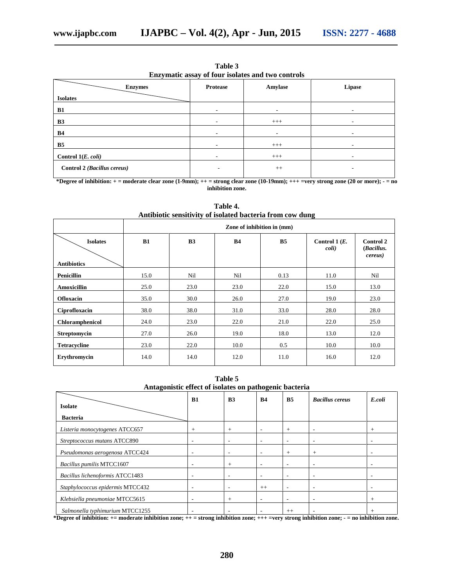| Enzymatic assay of four isolates and two controls |          |         |        |  |  |  |  |
|---------------------------------------------------|----------|---------|--------|--|--|--|--|
| <b>Enzymes</b>                                    | Protease | Amylase | Lipase |  |  |  |  |
| <b>Isolates</b>                                   |          |         |        |  |  |  |  |
| B1                                                |          |         | ۰      |  |  |  |  |
| <b>B3</b>                                         |          | $+++$   | ۰      |  |  |  |  |
| <b>B4</b>                                         |          |         | ۰      |  |  |  |  |
| B <sub>5</sub>                                    |          | $+++$   |        |  |  |  |  |
| Control $1(E. \text{ coli})$                      |          | $+++$   | ۰      |  |  |  |  |
| Control 2 (Bacillus cereus)                       |          | $++$    | -      |  |  |  |  |

**Table 3**

**\*Degree of inhibition: + = moderate clear zone (1-9mm); ++ = strong clear zone (10-19mm); +++ =very strong zone (20 or more); - = no inhibition zone.**

| Zone of inhibition in (mm) |                |           |           |                           |                                                   |  |
|----------------------------|----------------|-----------|-----------|---------------------------|---------------------------------------------------|--|
| B1                         | B <sub>3</sub> | <b>B4</b> | <b>B5</b> | Control 1 $(E$ .<br>coli) | <b>Control 2</b><br>(Bacillus.<br><i>cereus</i> ) |  |
|                            |                |           |           |                           |                                                   |  |
| 15.0                       | Nil            | Nil       | 0.13      | 11.0                      | Nil                                               |  |
| 25.0                       | 23.0           | 23.0      | 22.0      | 15.0                      | 13.0                                              |  |
| 35.0                       | 30.0           | 26.0      | 27.0      | 19.0                      | 23.0                                              |  |
| 38.0                       | 38.0           | 31.0      | 33.0      | 28.0                      | 28.0                                              |  |
| 24.0                       | 23.0           | 22.0      | 21.0      | 22.0                      | 25.0                                              |  |
| 27.0                       | 26.0           | 19.0      | 18.0      | 13.0                      | 12.0                                              |  |
| 23.0                       | 22.0           | 10.0      | 0.5       | 10.0                      | 10.0                                              |  |
| 14.0                       | 14.0           | 12.0      | 11.0      | 16.0                      | 12.0                                              |  |
|                            |                |           |           |                           |                                                   |  |

**Table 4. Antibiotic sensitivity of isolated bacteria from cow dung**

**Table 5 Antagonistic effect of isolates on pathogenic bacteria**

|                                      | B1                       | B <sub>3</sub>                     | <b>B4</b>                | B <sub>5</sub>           | <b>Bacillus cereus</b>                  | E.coli                             |
|--------------------------------------|--------------------------|------------------------------------|--------------------------|--------------------------|-----------------------------------------|------------------------------------|
| <b>Isolate</b>                       |                          |                                    |                          |                          |                                         |                                    |
| <b>Bacteria</b>                      |                          |                                    |                          |                          |                                         |                                    |
| Listeria monocytogenes ATCC657       | $\pm$                    | $^{+}$                             | ٠                        | $^{+}$                   | ۰                                       | $^{+}$                             |
| Streptococcus mutans ATCC890         | -                        | $\overline{\phantom{a}}$           | ٠                        |                          | -                                       |                                    |
| Pseudomonas aerogenosa ATCC424       |                          | $\overline{\phantom{a}}$           | ٠                        | $^{+}$                   | $+$                                     |                                    |
| Bacillus pumilis MTCC1607            | -                        | $+$                                | -                        | ٠                        | ٠                                       |                                    |
| Bacillus lichenoformis ATCC1483      |                          | ٠                                  | ٠                        | ۰                        | -                                       |                                    |
| Staphylococcus epidermis MTCC432     | $\overline{\phantom{a}}$ | $\overline{\phantom{a}}$           | $++$                     | ۰                        | ۰                                       |                                    |
| Klebsiella pneumoniae MTCC5615       | $\overline{\phantom{a}}$ | $+$                                | $\overline{\phantom{a}}$ | $\overline{\phantom{a}}$ | ۰                                       | $^{+}$                             |
| Salmonella typhimurium MTCC1255<br>. | -                        | $\sim$ $\sim$ $\sim$ $\sim$ $\sim$ | ٠                        | $++$                     | $\cdot$ $\cdot$ $\cdot$ $\cdot$ $\cdot$ | $\sim$ $\sim$ $\sim$ $\sim$ $\sim$ |

**\*Degree of inhibition: += moderate inhibition zone; ++ = strong inhibition zone; +++ =very strong inhibition zone; - = no inhibition zone.**